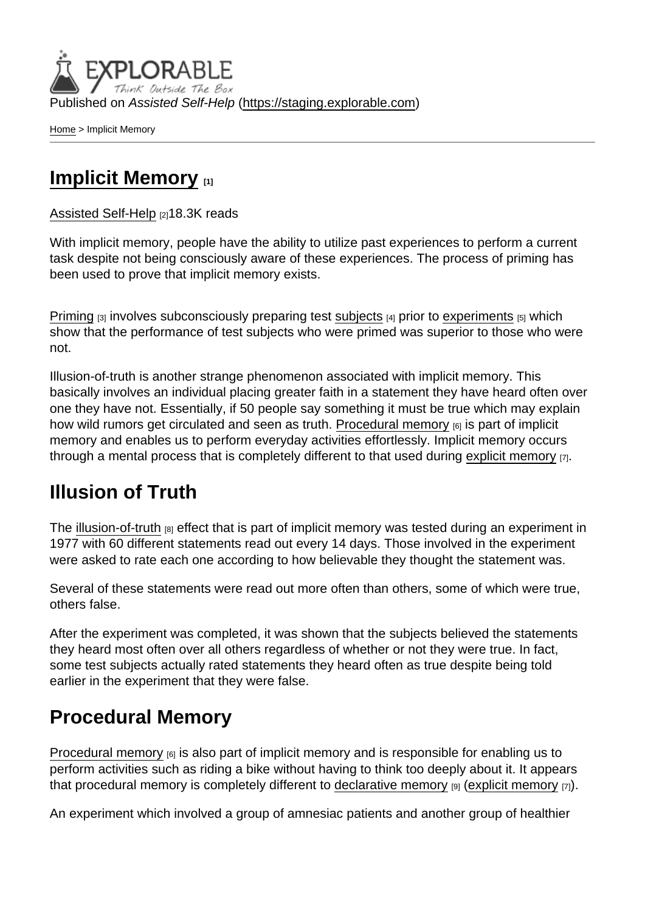Published on Assisted Self-Help [\(https://staging.explorable.com](https://staging.explorable.com))

[Home](https://staging.explorable.com/en) > Implicit Memory

## [Implicit Memory](https://staging.explorable.com/en/implicit-memory) [1]

#### [Assisted Self-Help](https://staging.explorable.com/en) [2]18.3K reads

With implicit memory, people have the ability to utilize past experiences to perform a current task despite not being consciously aware of these experiences. The process of priming has been used to prove that implicit memory exists.

[Priming](https://staging.explorable.com/priming)  $[3]$  involves subconsciously preparing test [subjects](https://staging.explorable.com/social-science-subjects)  $[4]$  prior to [experiments](https://staging.explorable.com/experimental-research)  $[5]$  which show that the performance of test subjects who were primed was superior to those who were not.

Illusion-of-truth is another strange phenomenon associated with implicit memory. This basically involves an individual placing greater faith in a statement they have heard often over one they have not. Essentially, if 50 people say something it must be true which may explain how wild rumors get circulated and seen as truth. [Procedural memory](https://staging.explorable.com/procedural-memory)  $_{[6]}$  is part of implicit memory and enables us to perform everyday activities effortlessly. Implicit memory occurs through a mental process that is completely different to that used during [explicit memory](https://staging.explorable.com/explicit-memory)  $\overline{p}$ .

### Illusion of Truth

The [illusion-of-truth](http://www.spring.org.uk/2010/12/the-illusion-of-truth.php) [8] effect that is part of implicit memory was tested during an experiment in 1977 with 60 different statements read out every 14 days. Those involved in the experiment were asked to rate each one according to how believable they thought the statement was.

Several of these statements were read out more often than others, some of which were true, others false.

After the experiment was completed, it was shown that the subjects believed the statements they heard most often over all others regardless of whether or not they were true. In fact, some test subjects actually rated statements they heard often as true despite being told earlier in the experiment that they were false.

# Procedural Memory

[Procedural memory](https://staging.explorable.com/procedural-memory)  $[6]$  is also part of implicit memory and is responsible for enabling us to perform activities such as riding a bike without having to think too deeply about it. It appears that procedural memory is completely different to [declarative memory](https://staging.explorable.com/declarative-memory)  $[9]$  [\(explicit memory](https://staging.explorable.com/explicit-memory)  $[7]$ ).

An experiment which involved a group of amnesiac patients and another group of healthier